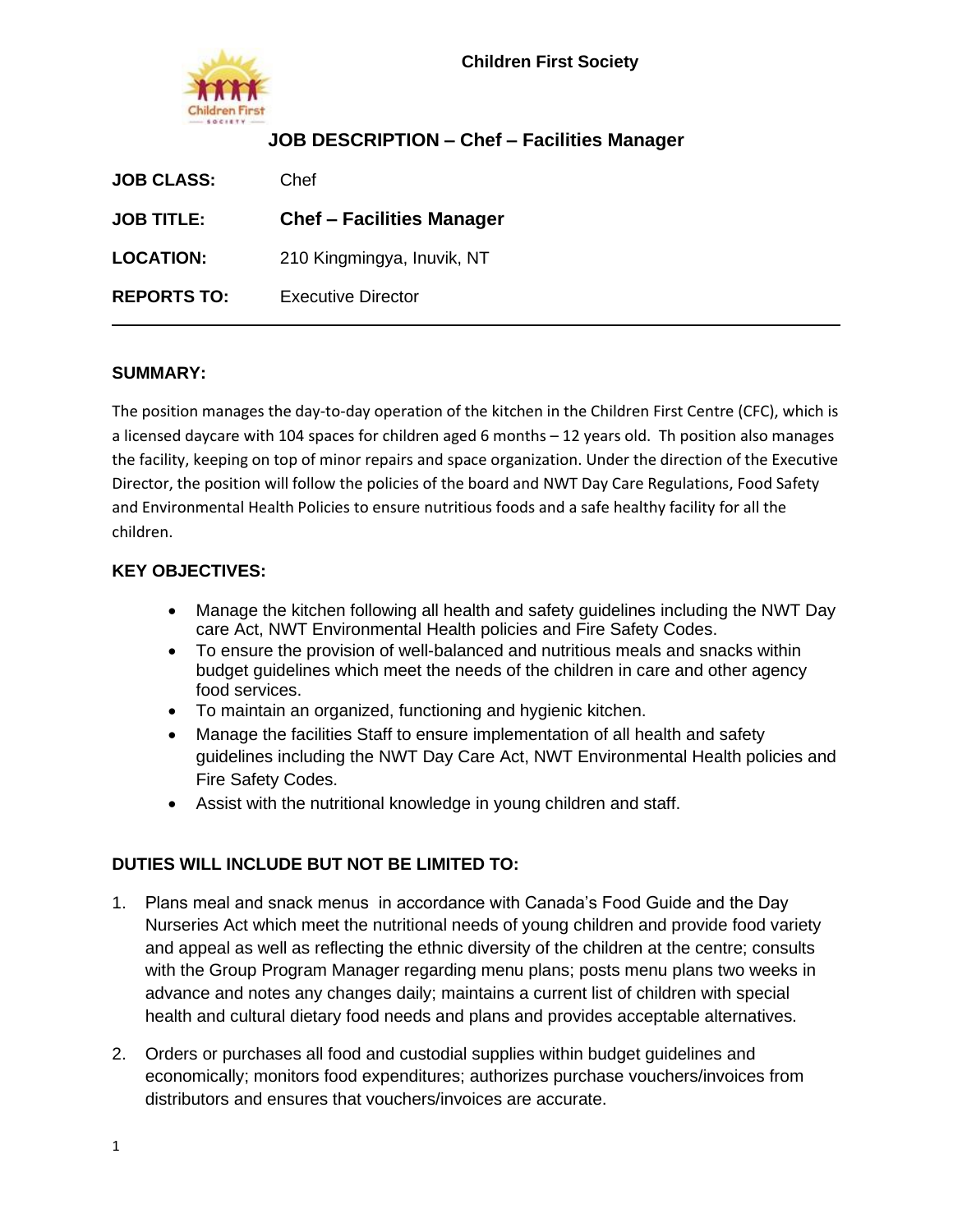# **JOB DESCRIPTION – Chef – Facilities Manager**

| <b>JOB CLASS:</b>  | Chef                             |
|--------------------|----------------------------------|
| <b>JOB TITLE:</b>  | <b>Chef - Facilities Manager</b> |
| <b>LOCATION:</b>   | 210 Kingmingya, Inuvik, NT       |
| <b>REPORTS TO:</b> | Executive Director               |

#### **SUMMARY:**

The position manages the day-to-day operation of the kitchen in the Children First Centre (CFC), which is a licensed daycare with 104 spaces for children aged 6 months – 12 years old. Th position also manages the facility, keeping on top of minor repairs and space organization. Under the direction of the Executive Director, the position will follow the policies of the board and NWT Day Care Regulations, Food Safety and Environmental Health Policies to ensure nutritious foods and a safe healthy facility for all the children.

#### **KEY OBJECTIVES:**

- Manage the kitchen following all health and safety guidelines including the NWT Day care Act, NWT Environmental Health policies and Fire Safety Codes.
- To ensure the provision of well-balanced and nutritious meals and snacks within budget guidelines which meet the needs of the children in care and other agency food services.
- To maintain an organized, functioning and hygienic kitchen.
- Manage the facilities Staff to ensure implementation of all health and safety guidelines including the NWT Day Care Act, NWT Environmental Health policies and Fire Safety Codes.
- Assist with the nutritional knowledge in young children and staff.

### **DUTIES WILL INCLUDE BUT NOT BE LIMITED TO:**

- 1. Plans meal and snack menus in accordance with Canada's Food Guide and the Day Nurseries Act which meet the nutritional needs of young children and provide food variety and appeal as well as reflecting the ethnic diversity of the children at the centre; consults with the Group Program Manager regarding menu plans; posts menu plans two weeks in advance and notes any changes daily; maintains a current list of children with special health and cultural dietary food needs and plans and provides acceptable alternatives.
- 2. Orders or purchases all food and custodial supplies within budget guidelines and economically; monitors food expenditures; authorizes purchase vouchers/invoices from distributors and ensures that vouchers/invoices are accurate.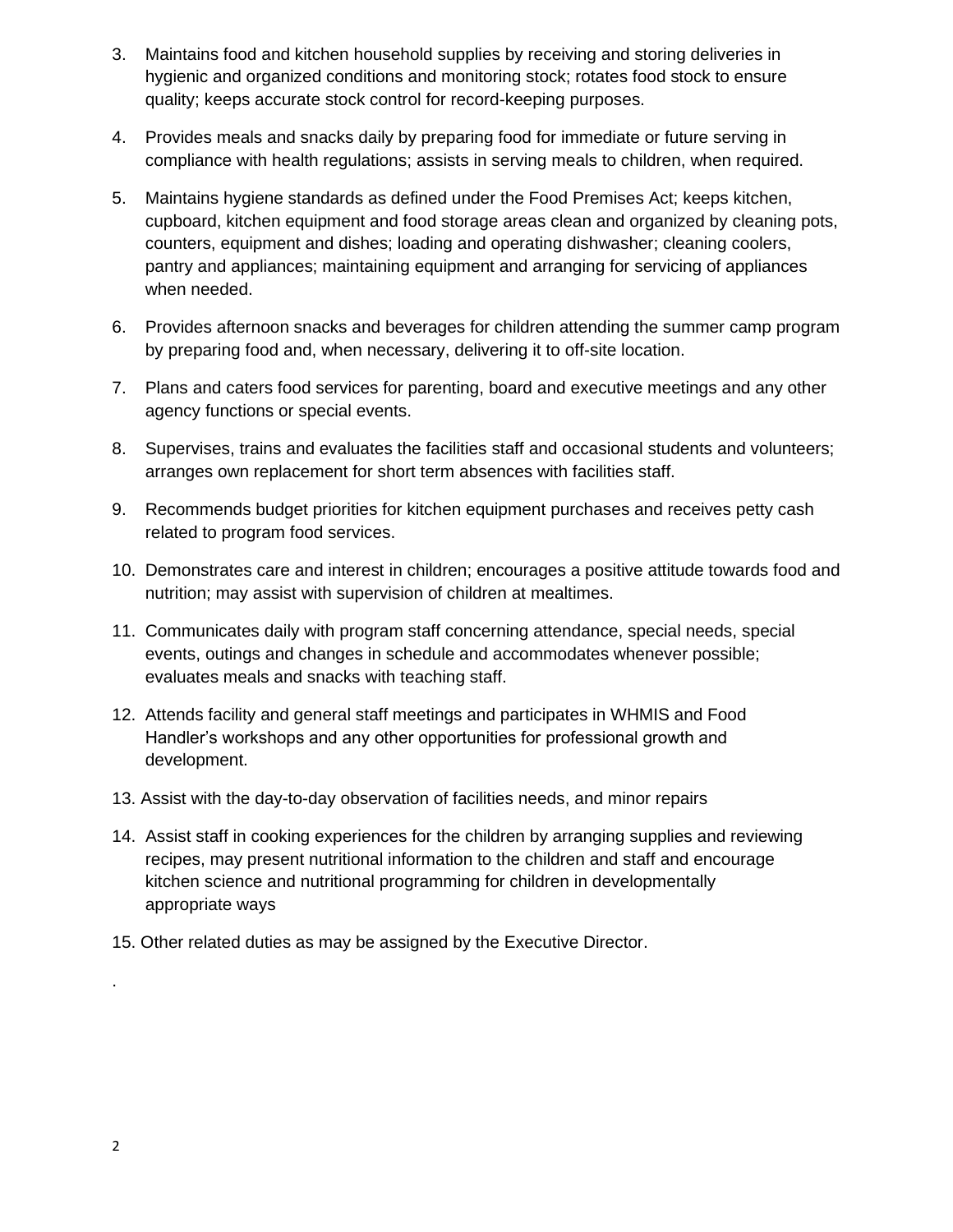- 3. Maintains food and kitchen household supplies by receiving and storing deliveries in hygienic and organized conditions and monitoring stock; rotates food stock to ensure quality; keeps accurate stock control for record-keeping purposes.
- 4. Provides meals and snacks daily by preparing food for immediate or future serving in compliance with health regulations; assists in serving meals to children, when required.
- 5. Maintains hygiene standards as defined under the Food Premises Act; keeps kitchen, cupboard, kitchen equipment and food storage areas clean and organized by cleaning pots, counters, equipment and dishes; loading and operating dishwasher; cleaning coolers, pantry and appliances; maintaining equipment and arranging for servicing of appliances when needed.
- 6. Provides afternoon snacks and beverages for children attending the summer camp program by preparing food and, when necessary, delivering it to off-site location.
- 7. Plans and caters food services for parenting, board and executive meetings and any other agency functions or special events.
- 8. Supervises, trains and evaluates the facilities staff and occasional students and volunteers; arranges own replacement for short term absences with facilities staff.
- 9. Recommends budget priorities for kitchen equipment purchases and receives petty cash related to program food services.
- 10. Demonstrates care and interest in children; encourages a positive attitude towards food and nutrition; may assist with supervision of children at mealtimes.
- 11. Communicates daily with program staff concerning attendance, special needs, special events, outings and changes in schedule and accommodates whenever possible; evaluates meals and snacks with teaching staff.
- 12. Attends facility and general staff meetings and participates in WHMIS and Food Handler's workshops and any other opportunities for professional growth and development.
- 13. Assist with the day-to-day observation of facilities needs, and minor repairs
- 14. Assist staff in cooking experiences for the children by arranging supplies and reviewing recipes, may present nutritional information to the children and staff and encourage kitchen science and nutritional programming for children in developmentally appropriate ways
- 15. Other related duties as may be assigned by the Executive Director.

.